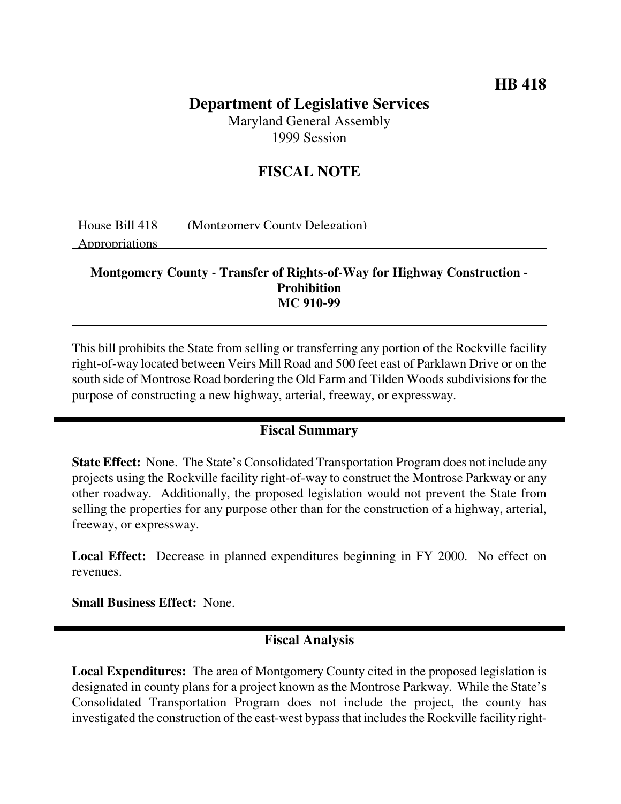## **HB 418**

# **Department of Legislative Services**

Maryland General Assembly 1999 Session

## **FISCAL NOTE**

House Bill 418 (Montgomery County Delegation)

Appropriations

#### **Montgomery County - Transfer of Rights-of-Way for Highway Construction - Prohibition MC 910-99**

This bill prohibits the State from selling or transferring any portion of the Rockville facility right-of-way located between Veirs Mill Road and 500 feet east of Parklawn Drive or on the south side of Montrose Road bordering the Old Farm and Tilden Woods subdivisions for the purpose of constructing a new highway, arterial, freeway, or expressway.

### **Fiscal Summary**

**State Effect:** None. The State's Consolidated Transportation Program does not include any projects using the Rockville facility right-of-way to construct the Montrose Parkway or any other roadway. Additionally, the proposed legislation would not prevent the State from selling the properties for any purpose other than for the construction of a highway, arterial, freeway, or expressway.

**Local Effect:** Decrease in planned expenditures beginning in FY 2000. No effect on revenues.

**Small Business Effect:** None.

## **Fiscal Analysis**

**Local Expenditures:** The area of Montgomery County cited in the proposed legislation is designated in county plans for a project known as the Montrose Parkway. While the State's Consolidated Transportation Program does not include the project, the county has investigated the construction of the east-west bypass that includes the Rockville facility right